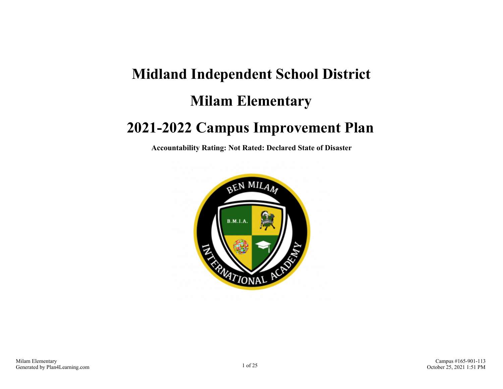# **Midland Independent School District Milam Elementary 2021-2022 Campus Improvement Plan**

**Accountability Rating: Not Rated: Declared State of Disaster**

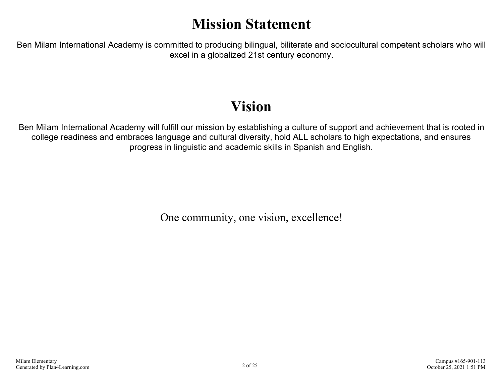# **Mission Statement**

Ben Milam International Academy is committed to producing bilingual, biliterate and sociocultural competent scholars who will excel in a globalized 21st century economy.

# **Vision**

Ben Milam International Academy will fulfill our mission by establishing a culture of support and achievement that is rooted in college readiness and embraces language and cultural diversity, hold ALL scholars to high expectations, and ensures progress in linguistic and academic skills in Spanish and English.

One community, one vision, excellence!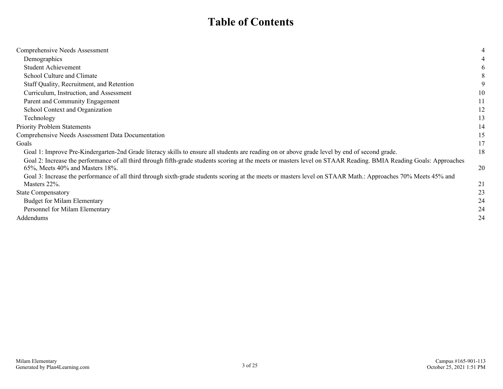# **Table of Contents**

| Comprehensive Needs Assessment                                                                                                                                    |    |
|-------------------------------------------------------------------------------------------------------------------------------------------------------------------|----|
| Demographics                                                                                                                                                      |    |
| <b>Student Achievement</b>                                                                                                                                        |    |
| School Culture and Climate                                                                                                                                        |    |
| Staff Quality, Recruitment, and Retention                                                                                                                         |    |
| Curriculum, Instruction, and Assessment                                                                                                                           | 10 |
| Parent and Community Engagement                                                                                                                                   | 11 |
| School Context and Organization                                                                                                                                   | 12 |
| Technology                                                                                                                                                        | 13 |
| Priority Problem Statements                                                                                                                                       | 14 |
| Comprehensive Needs Assessment Data Documentation                                                                                                                 | 15 |
| Goals                                                                                                                                                             | 17 |
| Goal 1: Improve Pre-Kindergarten-2nd Grade literacy skills to ensure all students are reading on or above grade level by end of second grade.                     | 18 |
| Goal 2: Increase the performance of all third through fifth-grade students scoring at the meets or masters level on STAAR Reading. BMIA Reading Goals: Approaches |    |
| $65\%$ , Meets $40\%$ and Masters 18%.                                                                                                                            | 20 |
| Goal 3: Increase the performance of all third through sixth-grade students scoring at the meets or masters level on STAAR Math.: Approaches 70% Meets 45% and     |    |
| Masters 22%.                                                                                                                                                      | 21 |
| <b>State Compensatory</b>                                                                                                                                         | 23 |
| <b>Budget for Milam Elementary</b>                                                                                                                                | 24 |
| Personnel for Milam Elementary                                                                                                                                    | 24 |
| Addendums                                                                                                                                                         | 24 |
|                                                                                                                                                                   |    |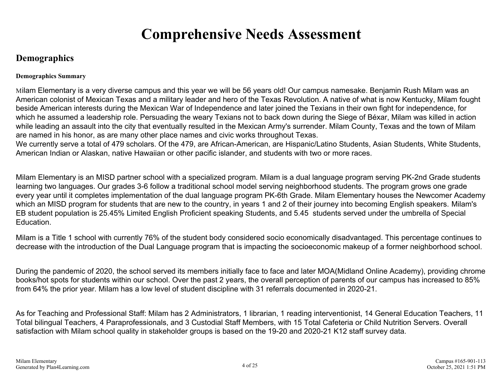# **Comprehensive Needs Assessment**

## <span id="page-3-0"></span>**Demographics**

#### **Demographics Summary**

Milam Elementary is a very diverse campus and this year we will be 56 years old! Our campus namesake. Benjamin Rush Milam was an American colonist of Mexican Texas and a military leader and hero of the Texas Revolution. A native of what is now Kentucky, Milam fought beside American interests during the Mexican War of Independence and later joined the Texians in their own fight for independence, for which he assumed a leadership role. Persuading the weary Texians not to back down during the Siege of Béxar, Milam was killed in action while leading an assault into the city that eventually resulted in the Mexican Army's surrender. Milam County, Texas and the town of Milam are named in his honor, as are many other place names and civic works throughout Texas.

We currently serve a total of 479 scholars. Of the 479, are African-American, are Hispanic/Latino Students, Asian Students, White Students, American Indian or Alaskan, native Hawaiian or other pacific islander, and students with two or more races.

Milam Elementary is an MISD partner school with a specialized program. Milam is a dual language program serving PK-2nd Grade students learning two languages. Our grades 3-6 follow a traditional school model serving neighborhood students. The program grows one grade every year until it completes implementation of the dual language program PK-6th Grade. Milam Elementary houses the Newcomer Academy which an MISD program for students that are new to the country, in years 1 and 2 of their journey into becoming English speakers. Milam's EB student population is 25.45% Limited English Proficient speaking Students, and 5.45 students served under the umbrella of Special Education.

Milam is a Title 1 school with currently 76% of the student body considered socio economically disadvantaged. This percentage continues to decrease with the introduction of the Dual Language program that is impacting the socioeconomic makeup of a former neighborhood school.

During the pandemic of 2020, the school served its members initially face to face and later MOA(Midland Online Academy), providing chrome books/hot spots for students within our school. Over the past 2 years, the overall perception of parents of our campus has increased to 85% from 64% the prior year. Milam has a low level of student discipline with 31 referrals documented in 2020-21.

As for Teaching and Professional Staff: Milam has 2 Administrators, 1 librarian, 1 reading interventionist, 14 General Education Teachers, 11 Total bilingual Teachers, 4 Paraprofessionals, and 3 Custodial Staff Members, with 15 Total Cafeteria or Child Nutrition Servers. Overall satisfaction with Milam school quality in stakeholder groups is based on the 19-20 and 2020-21 K12 staff survey data.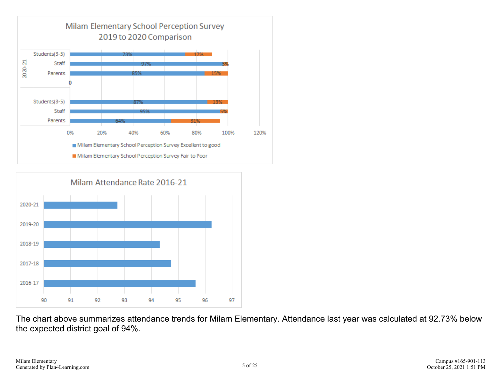



The chart above summarizes attendance trends for Milam Elementary. Attendance last year was calculated at 92.73% below the expected district goal of 94%.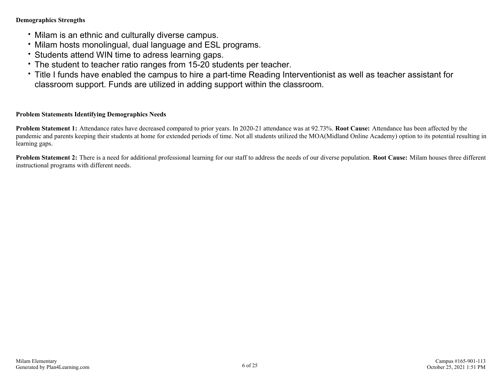#### **Demographics Strengths**

- Milam is an ethnic and culturally diverse campus.
- Milam hosts monolingual, dual language and ESL programs.
- Students attend WIN time to adress learning gaps.
- The student to teacher ratio ranges from 15-20 students per teacher.
- Title I funds have enabled the campus to hire a part-time Reading Interventionist as well as teacher assistant for classroom support. Funds are utilized in adding support within the classroom.

#### **Problem Statements Identifying Demographics Needs**

**Problem Statement 1:** Attendance rates have decreased compared to prior years. In 2020-21 attendance was at 92.73%. **Root Cause:** Attendance has been affected by the pandemic and parents keeping their students at home for extended periods of time. Not all students utilized the MOA(Midland Online Academy) option to its potential resulting in learning gaps.

**Problem Statement 2:** There is a need for additional professional learning for our staff to address the needs of our diverse population. **Root Cause:** Milam houses three different instructional programs with different needs.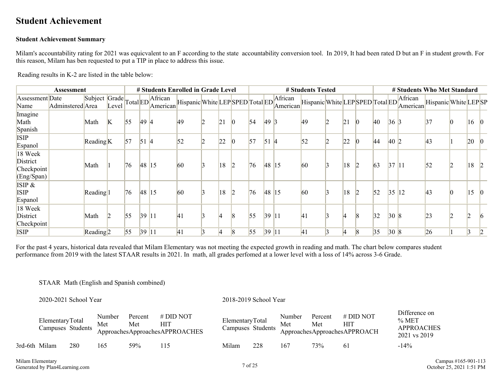### <span id="page-6-0"></span>**Student Achievement**

#### **Student Achievement Summary**

Milam's accountability rating for 2021 was equicvalent to an F according to the state accountability conversion tool. In 2019, It had been rated D but an F in student growth. For this reason, Milam has ben requested to put a TIP in place to address this issue.

Reading results in K-2 are listed in the table below:

|                                                 | Assessment       |                      |       |             |            | # Students Enrolled in Grade Level         |              |              |                 |    |             |                                                      | # Students Tested               |    |                |              |           | # Students Who Met Standard |                      |                                    |  |
|-------------------------------------------------|------------------|----------------------|-------|-------------|------------|--------------------------------------------|--------------|--------------|-----------------|----|-------------|------------------------------------------------------|---------------------------------|----|----------------|--------------|-----------|-----------------------------|----------------------|------------------------------------|--|
| Assessment Date<br>Name                         | Adminstered Area |                      | Level |             |            | Subject Grade Total ED African<br>American |              |              |                 |    |             | Hispanic White LEP SPED Total ED African<br>American | Hispanic White LEPSPED Total ED |    |                |              |           | African<br>American         | Hispanic White LEPSP |                                    |  |
| Imagine<br>Math<br>Spanish                      |                  | Math                 | K     | $\sqrt{55}$ | 49 4       |                                            | 49           | 21           | $ 0\rangle$     | 54 | 49          |                                                      | 49                              | 21 | $\overline{0}$ | $ 40\rangle$ | $36 \, 3$ |                             | 37                   | $\begin{vmatrix} 16 \end{vmatrix}$ |  |
| <b>ISIP</b><br>Espanol                          |                  | Reading <sub>K</sub> |       | 57          | $\vert$ 51 | $\sqrt{2}$                                 | 52           | 22           | $\vert 0 \vert$ | 57 | $51 \,   4$ |                                                      | 52                              | 22 |                | 44           | 40 2      |                             | $ 43\rangle$         | 20                                 |  |
| 18 Week<br>District<br>Checkpoint<br>(Eng/Span) |                  | Math                 |       | 76          | 48 15      |                                            | 60           | $ 18\rangle$ | $\vert$ 2       | 76 | 48 15       |                                                      | 60                              | 18 |                | 63           |           | 37 11                       | 52                   | 18                                 |  |
| ISIP &<br><b>ISIP</b><br>Espanol                |                  | Reading <sup>1</sup> |       | 76          | 48 15      |                                            | 60           | 18           | $\vert$ 2       | 76 | 48 15       |                                                      | 60                              | 18 |                | $\vert$ 52   |           | 35 12                       | $ 43\rangle$         | $\vert 15 \vert$                   |  |
| 18 Week<br>District<br>Checkpoint               |                  | Math                 |       | 55          | 39         |                                            | $ 41\rangle$ |              | $\sqrt{8}$      | 55 | 39 11       |                                                      | 41                              |    |                | 32           |           | 308                         | 23                   | h                                  |  |
| <b>ISIP</b>                                     |                  | Reading <sub>2</sub> |       | $\vert$ 55  | 39 11      |                                            | 41           |              | $\vert 8 \vert$ | 55 | 39 11       |                                                      | 41                              |    |                | 35           |           | 308                         | 26                   |                                    |  |

For the past 4 years, historical data revealed that Milam Elementary was not meeting the expected growth in reading and math. The chart below compares student performance from 2019 with the latest STAAR results in 2021. In math, all grades perfomed at a lower level with a loss of 14% across 3-6 Grade.

#### STAAR Math (English and Spanish combined)

#### 2020-2021 School Year 2018-2019 School Year

|               | ElementaryTotal<br>Campuses Students |     | Number<br>Met | Percent<br>Met | $#$ DID NOT<br>HIT<br>ApproachesApproachesAPPROACHES | ElementaryTotal<br>Campuses Students |     | Number<br>Met | Percent<br>Met | $#$ DID NOT<br>HП<br>ApproachesApproachesAPPROACH | Difference on<br>$%$ MET<br><b>APPROACHES</b><br>2021 vs 2019 |
|---------------|--------------------------------------|-----|---------------|----------------|------------------------------------------------------|--------------------------------------|-----|---------------|----------------|---------------------------------------------------|---------------------------------------------------------------|
| 3rd-6th Milam |                                      | 280 | 165           | 59%            | .15                                                  | Milam                                | 228 | 167           | 73%            | 61                                                | $-14\%$                                                       |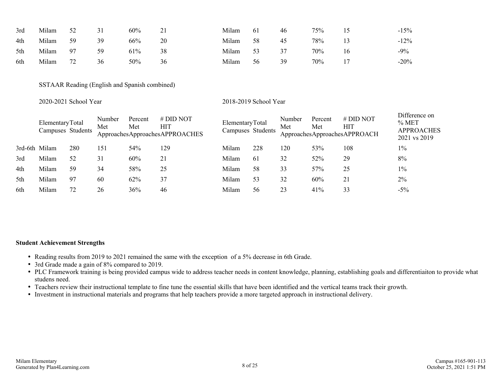| 3rd | Milam | 52 | 31 | 60% | ∠⊥ | Milam | 61 | 46 | 75% |    | $-15%$  |
|-----|-------|----|----|-----|----|-------|----|----|-----|----|---------|
| 4th | Milam | 59 | 39 | 66% | 20 | Milam | 58 | 45 | 78% |    | $-12\%$ |
| 5th | Milam | 97 | 59 | 61% | 38 | Milam | 53 |    | 70% | 16 | $-9\%$  |
| 6th | Milam | 72 | 36 | 50% | 36 | Milam | 56 | 39 | 70% |    | $-20%$  |

SSTAAR Reading (English and Spanish combined)

#### 2020-2021 School Year 2018-2019 School Year

|               | ElementaryTotal<br>Campuses Students |     | Number<br>Met | Percent<br>Met | $#$ DID NOT<br><b>HIT</b><br>ApproachesApproachesAPPROACHES | ElementaryTotal<br>Campuses Students |     | Number<br>Met | Percent<br>Met | $#$ DID NOT<br>HIT<br>ApproachesApproachesAPPROACH | Difference on<br>% MET<br><b>APPROACHES</b><br>2021 vs 2019 |
|---------------|--------------------------------------|-----|---------------|----------------|-------------------------------------------------------------|--------------------------------------|-----|---------------|----------------|----------------------------------------------------|-------------------------------------------------------------|
| 3rd-6th Milam |                                      | 280 | 151           | 54%            | 129                                                         | Milam                                | 228 | 120           | 53%            | 108                                                | $1\%$                                                       |
| 3rd           | Milam                                | 52  | 31            | 60%            | 21                                                          | Milam                                | 61  | 32            | 52%            | 29                                                 | 8%                                                          |
| 4th           | Milam                                | 59  | 34            | 58%            | 25                                                          | Milam                                | 58  | 33            | 57%            | 25                                                 | $1\%$                                                       |
| 5th           | Milam                                | 97  | 60            | 62%            | 37                                                          | Milam                                | 53  | 32            | 60%            | 21                                                 | 2%                                                          |
| 6th           | Milam                                | 72  | 26            | 36%            | 46                                                          | Milam                                | 56  | 23            | 41%            | 33                                                 | $-5%$                                                       |

#### **Student Achievement Strengths**

- Reading results from 2019 to 2021 remained the same with the exception of a 5% decrease in 6th Grade.
- 3rd Grade made a gain of 8% compared to 2019.
- PLC Framework training is being provided campus wide to address teacher needs in content knowledge, planning, establishing goals and differentiaiton to provide what studens need.
- Teachers review their instructional template to fine tune the essential skills that have been identified and the vertical teams track their growth.
- Investment in instructional materials and programs that help teachers provide a more targeted approach in instructional delivery.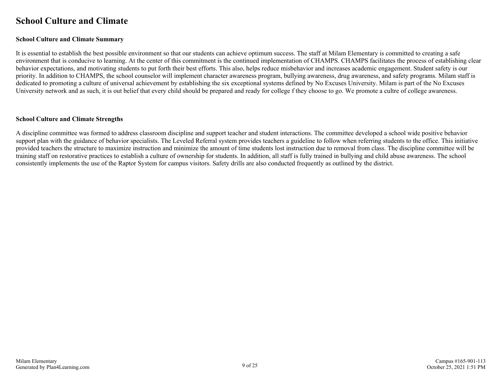### <span id="page-8-0"></span>**School Culture and Climate**

#### **School Culture and Climate Summary**

It is essential to establish the best possible environment so that our students can achieve optimum success. The staff at Milam Elementary is committed to creating a safe environment that is conducive to learning. At the center of this commitment is the continued implementation of CHAMPS. CHAMPS facilitates the process of establishing clear behavior expectations, and motivating students to put forth their best efforts. This also, helps reduce misbehavior and increases academic engagement. Student safety is our priority. In addition to CHAMPS, the school counselor will implement character awareness program, bullying awareness, drug awareness, and safety programs. Milam staff is dedicated to promoting a culture of universal achievement by establishing the six exceptional systems defined by No Excuses University. Milam is part of the No Excuses University network and as such, it is out belief that every child should be prepared and ready for college f they choose to go. We promote a cultre of college awareness.

#### **School Culture and Climate Strengths**

A discipline committee was formed to address classroom discipline and support teacher and student interactions. The committee developed a school wide positive behavior support plan with the guidance of behavior specialists. The Leveled Referral system provides teachers a guideline to follow when referring students to the office. This initiative provided teachers the structure to maximize instruction and minimize the amount of time students lost instruction due to removal from class. The discipline committee will be training staff on restorative practices to establish a culture of ownership for students. In addition, all staff is fully trained in bullying and child abuse awareness. The school consistently implements the use of the Raptor System for campus visitors. Safety drills are also conducted frequently as outlined by the district.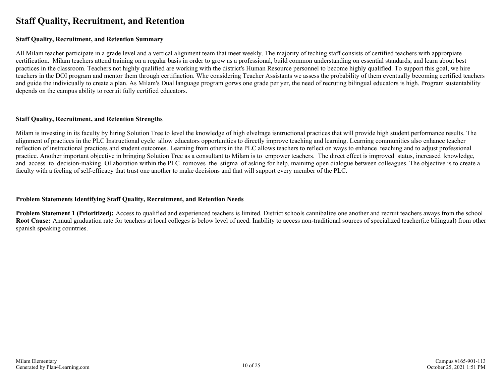### <span id="page-9-0"></span>**Staff Quality, Recruitment, and Retention**

#### **Staff Quality, Recruitment, and Retention Summary**

All Milam teacher participate in a grade level and a vertical alignment team that meet weekly. The majority of teching staff consists of certified teachers with approrpiate certification. Milam teachers attend training on a regular basis in order to grow as a professional, build common understanding on essential standards, and learn about best practices in the classroom. Teachers not highly qualified are working with the district's Human Resource personnel to become highly qualified. To support this goal, we hire teachers in the DOI program and mentor them through certifiaction. Whe considering Teacher Assistants we assess the probability of them eventually becoming certified teachers and guide the indivicually to create a plan. As Milam's Dual language program gorws one grade per yer, the need of recruting bilingual educators is high. Program sustentability depends on the campus ability to recruit fully certified educators.

#### **Staff Quality, Recruitment, and Retention Strengths**

Milam is investing in its faculty by hiring Solution Tree to level the knowledge of high elvelrage isntructional practices that will provide high student performance results. The alignment of practices in the PLC Instructional cycle allow educators opportunities to directly improve teaching and learning. Learning communities also enhance teacher reflection of instructional practices and student outcomes. Learning from others in the PLC allows teachers to reflect on ways to enhance teaching and to adjust professional practice. Another important objective in bringing Solution Tree as a consultant to Milam is to empower teachers. The direct effect is improved status, increased knowledge, and access to decision-making. Ollaboration within the PLC romoves the stigma of asking for help, mainitng open dialogue between colleagues. The objective is to create a faculty with a feeling of self-efficacy that trust one another to make decisions and that will support every member of the PLC.

#### **Problem Statements Identifying Staff Quality, Recruitment, and Retention Needs**

**Problem Statement 1 (Prioritized):** Access to qualified and experienced teachers is limited. District schools cannibalize one another and recruit teachers aways from the school **Root Cause:** Annual graduation rate for teachers at local colleges is below level of need. Inability to access non-traditional sources of specialized teacher(i.e bilingual) from other spanish speaking countries.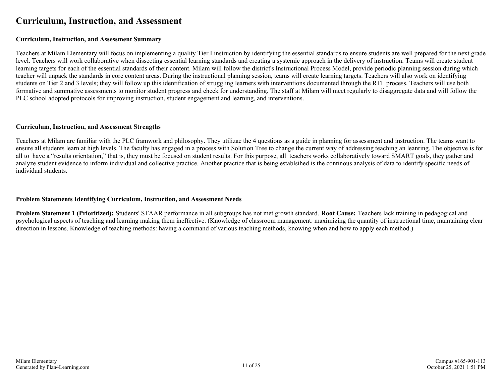### <span id="page-10-0"></span>**Curriculum, Instruction, and Assessment**

#### **Curriculum, Instruction, and Assessment Summary**

Teachers at Milam Elementary will focus on implementing a quality Tier I instruction by identifying the essential standards to ensure students are well prepared for the next grade level. Teachers will work collaborative when dissecting essential learning standards and creating a systemic approach in the delivery of instruction. Teams will create student learning targets for each of the essential standards of their content. Milam will follow the district's Instructional Process Model, provide periodic planning session during which teacher will unpack the standards in core content areas. During the instructional planning session, teams will create learning targets. Teachers will also work on identifying students on Tier 2 and 3 levels; they will follow up this identification of struggling learners with interventions documented through the RTI process. Teachers will use both formative and summative assessments to monitor student progress and check for understanding. The staff at Milam will meet regularly to disaggregate data and will follow the PLC school adopted protocols for improving instruction, student engagement and learning, and interventions.

#### **Curriculum, Instruction, and Assessment Strengths**

Teachers at Milam are familiar with the PLC framwork and philosophy. They utilizae the 4 questions as a guide in planning for assessment and instruction. The teams want to ensure all students learn at high levels. The faculty has engaged in a process with Solution Tree to change the current way of addressing teaching an leanring. The objective is for all to have a "results orientation," that is, they must be focused on student results. For this purpose, all teachers works collaboratively toward SMART goals, they gather and analyze student evidence to inform individual and collective practice. Another practice that is being establsihed is the continous analysis of data to identify specific needs of individual students.

#### **Problem Statements Identifying Curriculum, Instruction, and Assessment Needs**

**Problem Statement 1 (Prioritized):** Students' STAAR performance in all subgroups has not met growth standard. **Root Cause:** Teachers lack training in pedagogical and psychological aspects of teaching and learning making them ineffective. (Knowledge of classroom management: maximizing the quantity of instructional time, maintaining clear direction in lessons. Knowledge of teaching methods: having a command of various teaching methods, knowing when and how to apply each method.)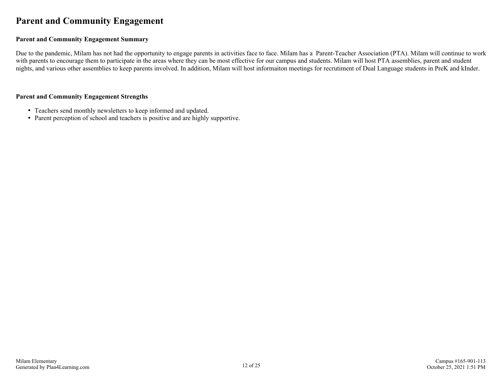### <span id="page-11-0"></span>**Parent and Community Engagement**

#### **Parent and Community Engagement Summary**

Due to the pandemic, Milam has not had the opportunity to engage parents in activities face to face. Milam has a Parent-Teacher Association (PTA). Milam will continue to work with parents to encourage them to participate in the areas where they can be most effective for our campus and students. Milam will host PTA assemblies, parent and student nights, and various other assemblies to keep parents involved. In addition, Milam will host informaiton meetings for recrutiment of Dual Language students in PreK and kInder.

#### **Parent and Community Engagement Strengths**

- Teachers send monthly newsletters to keep informed and updated.
- Parent perception of school and teachers is positive and are highly supportive.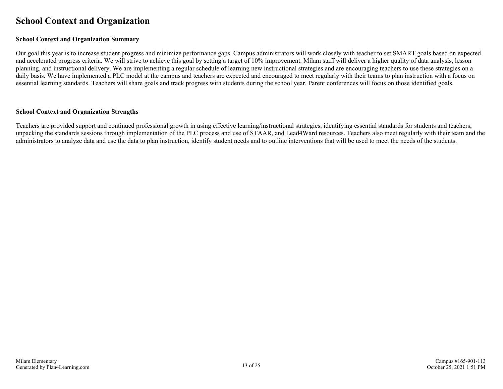### <span id="page-12-0"></span>**School Context and Organization**

#### **School Context and Organization Summary**

Our goal this year is to increase student progress and minimize performance gaps. Campus administrators will work closely with teacher to set SMART goals based on expected and accelerated progress criteria. We will strive to achieve this goal by setting a target of 10% improvement. Milam staff will deliver a higher quality of data analysis, lesson planning, and instructional delivery. We are implementing a regular schedule of learning new instructional strategies and are encouraging teachers to use these strategies on a daily basis. We have implemented a PLC model at the campus and teachers are expected and encouraged to meet regularly with their teams to plan instruction with a focus on essential learning standards. Teachers will share goals and track progress with students during the school year. Parent conferences will focus on those identified goals.

#### **School Context and Organization Strengths**

Teachers are provided support and continued professional growth in using effective learning/instructional strategies, identifying essential standards for students and teachers, unpacking the standards sessions through implementation of the PLC process and use of STAAR, and Lead4Ward resources. Teachers also meet regularly with their team and the administrators to analyze data and use the data to plan instruction, identify student needs and to outline interventions that will be used to meet the needs of the students.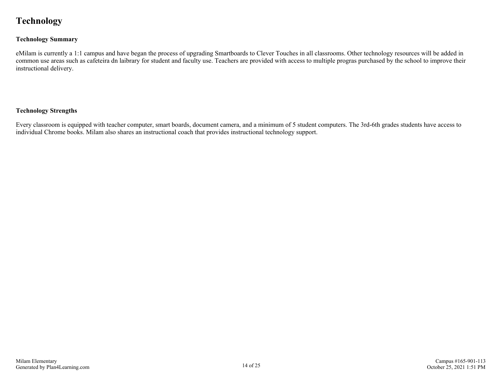# <span id="page-13-0"></span>**Technology**

#### **Technology Summary**

eMilam is currently a 1:1 campus and have began the process of upgrading Smartboards to Clever Touches in all classrooms. Other technology resources will be added in common use areas such as cafeteira dn laibrary for student and faculty use. Teachers are provided with access to multiple progras purchased by the school to improve their instructional delivery.

#### **Technology Strengths**

Every classroom is equipped with teacher computer, smart boards, document camera, and a minimum of 5 student computers. The 3rd-6th grades students have access to individual Chrome books. Milam also shares an instructional coach that provides instructional technology support.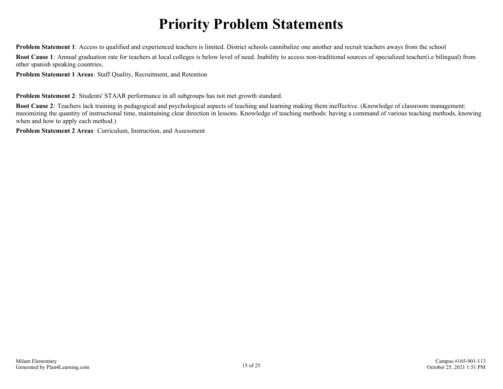# **Priority Problem Statements**

<span id="page-14-0"></span>**Problem Statement 1**: Access to qualified and experienced teachers is limited. District schools cannibalize one another and recruit teachers aways from the school

**Root Cause 1**: Annual graduation rate for teachers at local colleges is below level of need. Inability to access non-traditional sources of specialized teacher(i.e bilingual) from other spanish speaking countries.

**Problem Statement 1 Areas**: Staff Quality, Recruitment, and Retention

**Problem Statement 2**: Students' STAAR performance in all subgroups has not met growth standard.

**Root Cause 2**: Teachers lack training in pedagogical and psychological aspects of teaching and learning making them ineffective. (Knowledge of classroom management: maximizing the quantity of instructional time, maintaining clear direction in lessons. Knowledge of teaching methods: having a command of various teaching methods, knowing when and how to apply each method.)

**Problem Statement 2 Areas**: Curriculum, Instruction, and Assessment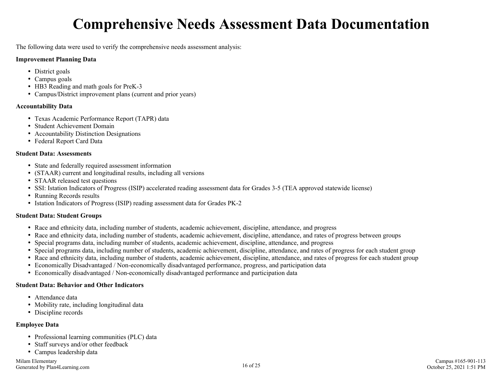# **Comprehensive Needs Assessment Data Documentation**

<span id="page-15-0"></span>The following data were used to verify the comprehensive needs assessment analysis:

#### **Improvement Planning Data**

- District goals
- Campus goals
- HB3 Reading and math goals for PreK-3
- Campus/District improvement plans (current and prior years)

#### **Accountability Data**

- Texas Academic Performance Report (TAPR) data
- Student Achievement Domain
- Accountability Distinction Designations
- Federal Report Card Data

#### **Student Data: Assessments**

- State and federally required assessment information
- (STAAR) current and longitudinal results, including all versions
- STAAR released test questions
- SSI: Istation Indicators of Progress (ISIP) accelerated reading assessment data for Grades 3-5 (TEA approved statewide license)
- Running Records results
- Istation Indicators of Progress (ISIP) reading assessment data for Grades PK-2

#### **Student Data: Student Groups**

- Race and ethnicity data, including number of students, academic achievement, discipline, attendance, and progress
- Race and ethnicity data, including number of students, academic achievement, discipline, attendance, and rates of progress between groups
- Special programs data, including number of students, academic achievement, discipline, attendance, and progress
- Special programs data, including number of students, academic achievement, discipline, attendance, and rates of progress for each student group
- Race and ethnicity data, including number of students, academic achievement, discipline, attendance, and rates of progress for each student group
- Economically Disadvantaged / Non-economically disadvantaged performance, progress, and participation data
- Economically disadvantaged / Non-economically disadvantaged performance and participation data

### **Student Data: Behavior and Other Indicators**

- Attendance data
- Mobility rate, including longitudinal data
- Discipline records

### **Employee Data**

- Professional learning communities (PLC) data
- Staff surveys and/or other feedback
- Campus leadership data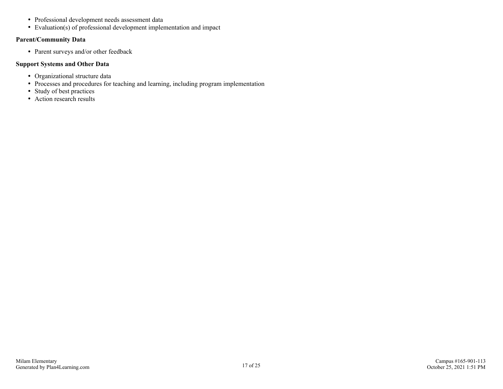- Professional development needs assessment data
- Evaluation(s) of professional development implementation and impact

#### **Parent/Community Data**

• Parent surveys and/or other feedback

#### **Support Systems and Other Data**

- Organizational structure data
- Processes and procedures for teaching and learning, including program implementation
- Study of best practices
- Action research results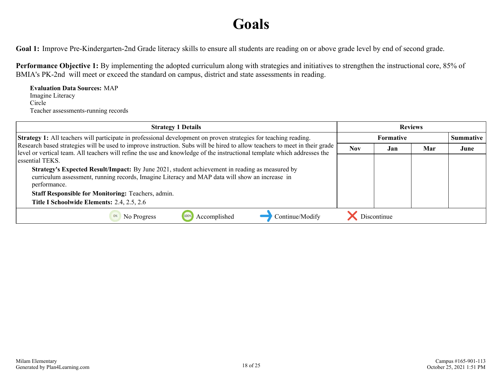# **Goals**

<span id="page-17-0"></span>Goal 1: Improve Pre-Kindergarten-2nd Grade literacy skills to ensure all students are reading on or above grade level by end of second grade.

**Performance Objective 1:** By implementing the adopted curriculum along with strategies and initiatives to strengthen the instructional core, 85% of BMIA's PK-2nd will meet or exceed the standard on campus, district and state assessments in reading.

**Evaluation Data Sources:** MAP Imagine Literacy Circle Teacher assessments-running records

| <b>Strategy 1 Details</b>                                                                                                                                                                                                                              |            |                  | <b>Reviews</b> |                  |
|--------------------------------------------------------------------------------------------------------------------------------------------------------------------------------------------------------------------------------------------------------|------------|------------------|----------------|------------------|
| <b>Strategy 1:</b> All teachers will participate in professional development on proven strategies for teaching reading.                                                                                                                                |            | <b>Formative</b> |                | <b>Summative</b> |
| Research based strategies will be used to improve instruction. Subs will be hired to allow teachers to meet in their grade<br>level or vertical team. All teachers will refine the use and knowledge of the instructional template which addresses the | <b>Nov</b> | Jan              | Mar            | June             |
| essential TEKS.                                                                                                                                                                                                                                        |            |                  |                |                  |
| Strategy's Expected Result/Impact: By June 2021, student achievement in reading as measured by<br>curriculum assessment, running records, Imagine Literacy and MAP data will show an increase in<br>performance.                                       |            |                  |                |                  |
| <b>Staff Responsible for Monitoring: Teachers, admin.</b>                                                                                                                                                                                              |            |                  |                |                  |
| Title I Schoolwide Elements: 2.4, 2.5, 2.6                                                                                                                                                                                                             |            |                  |                |                  |
| Continue/Modify<br>Accomplished<br>No Progress                                                                                                                                                                                                         |            | Discontinue      |                |                  |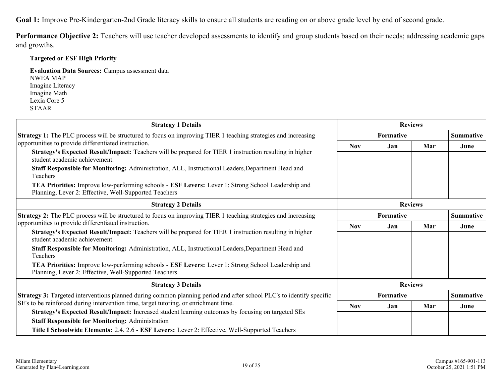**Goal 1:** Improve Pre-Kindergarten-2nd Grade literacy skills to ensure all students are reading on or above grade level by end of second grade.

**Performance Objective 2:** Teachers will use teacher developed assessments to identify and group students based on their needs; addressing academic gaps and growths.

### **Targeted or ESF High Priority**

**Evaluation Data Sources:** Campus assessment data NWEA MAP Imagine Literacy Imagine Math Lexia Core 5 STAAR

| <b>Strategy 1 Details</b>                                                                                                                                                                               |            |           | <b>Reviews</b> |                  |
|---------------------------------------------------------------------------------------------------------------------------------------------------------------------------------------------------------|------------|-----------|----------------|------------------|
| <b>Strategy 1:</b> The PLC process will be structured to focus on improving TIER 1 teaching strategies and increasing                                                                                   |            | Formative |                | <b>Summative</b> |
| opportunities to provide differentiated instruction.<br><b>Strategy's Expected Result/Impact:</b> Teachers will be prepared for TIER 1 instruction resulting in higher<br>student academic achievement. | <b>Nov</b> | Jan       | Mar            | June             |
| Staff Responsible for Monitoring: Administration, ALL, Instructional Leaders, Department Head and<br>Teachers                                                                                           |            |           |                |                  |
| <b>TEA Priorities:</b> Improve low-performing schools - <b>ESF Levers:</b> Lever 1: Strong School Leadership and<br>Planning, Lever 2: Effective, Well-Supported Teachers                               |            |           |                |                  |
| <b>Strategy 2 Details</b>                                                                                                                                                                               |            |           | <b>Reviews</b> |                  |
| <b>Strategy 2:</b> The PLC process will be structured to focus on improving TIER 1 teaching strategies and increasing                                                                                   |            | Formative |                | <b>Summative</b> |
| opportunities to provide differentiated instruction.                                                                                                                                                    | <b>Nov</b> | Jan       | Mar            | June             |
| <b>Strategy's Expected Result/Impact:</b> Teachers will be prepared for TIER 1 instruction resulting in higher<br>student academic achievement.                                                         |            |           |                |                  |
| Staff Responsible for Monitoring: Administration, ALL, Instructional Leaders, Department Head and<br>Teachers                                                                                           |            |           |                |                  |
| <b>TEA Priorities:</b> Improve low-performing schools - <b>ESF Levers:</b> Lever 1: Strong School Leadership and<br>Planning, Lever 2: Effective, Well-Supported Teachers                               |            |           |                |                  |
| <b>Strategy 3 Details</b>                                                                                                                                                                               |            |           | <b>Reviews</b> |                  |
| Strategy 3: Targeted interventions planned during common planning period and after school PLC's to identify specific                                                                                    |            | Formative |                | <b>Summative</b> |
| SE's to be reinforced during intervention time, target tutoring, or enrichment time.                                                                                                                    | <b>Nov</b> | Jan       | Mar            | June             |
| Strategy's Expected Result/Impact: Increased student learning outcomes by focusing on targeted SEs                                                                                                      |            |           |                |                  |
| <b>Staff Responsible for Monitoring: Administration</b>                                                                                                                                                 |            |           |                |                  |
| Title I Schoolwide Elements: 2.4, 2.6 - ESF Levers: Lever 2: Effective, Well-Supported Teachers                                                                                                         |            |           |                |                  |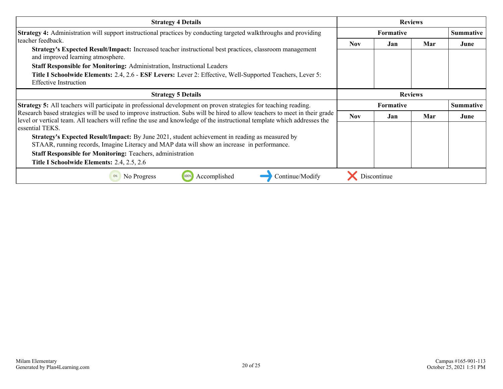| <b>Strategy 4 Details</b>                                                                                                                                                                                                                              |            |                  | <b>Reviews</b> |                  |
|--------------------------------------------------------------------------------------------------------------------------------------------------------------------------------------------------------------------------------------------------------|------------|------------------|----------------|------------------|
| <b>Strategy 4:</b> Administration will support instructional practices by conducting targeted walkthroughs and providing                                                                                                                               |            | <b>Formative</b> |                | <b>Summative</b> |
| teacher feedback.                                                                                                                                                                                                                                      | Nov.       | Jan              | Mar            | June             |
| Strategy's Expected Result/Impact: Increased teacher instructional best practices, classroom management<br>and improved learning atmosphere.                                                                                                           |            |                  |                |                  |
| Staff Responsible for Monitoring: Administration, Instructional Leaders                                                                                                                                                                                |            |                  |                |                  |
| Title I Schoolwide Elements: 2.4, 2.6 - ESF Levers: Lever 2: Effective, Well-Supported Teachers, Lever 5:                                                                                                                                              |            |                  |                |                  |
| <b>Effective Instruction</b>                                                                                                                                                                                                                           |            |                  |                |                  |
| <b>Strategy 5 Details</b>                                                                                                                                                                                                                              |            |                  | <b>Reviews</b> |                  |
| Strategy 5: All teachers will participate in professional development on proven strategies for teaching reading.                                                                                                                                       |            | <b>Summative</b> |                |                  |
| Research based strategies will be used to improve instruction. Subs will be hired to allow teachers to meet in their grade<br>level or vertical team. All teachers will refine the use and knowledge of the instructional template which addresses the | <b>Nov</b> | Jan              | Mar            | June             |
| essential TEKS.                                                                                                                                                                                                                                        |            |                  |                |                  |
| Strategy's Expected Result/Impact: By June 2021, student achievement in reading as measured by                                                                                                                                                         |            |                  |                |                  |
| STAAR, running records, Imagine Literacy and MAP data will show an increase in performance.                                                                                                                                                            |            |                  |                |                  |
| <b>Staff Responsible for Monitoring: Teachers, administration</b>                                                                                                                                                                                      |            |                  |                |                  |
| Title I Schoolwide Elements: 2.4, 2.5, 2.6                                                                                                                                                                                                             |            |                  |                |                  |
| Accomplished<br>Continue/Modify<br>No Progress<br>100%<br>0%                                                                                                                                                                                           |            | Discontinue      |                |                  |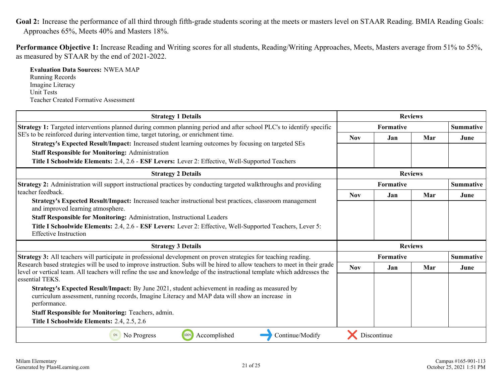<span id="page-20-0"></span>Goal 2: Increase the performance of all third through fifth-grade students scoring at the meets or masters level on STAAR Reading. BMIA Reading Goals: Approaches 65%, Meets 40% and Masters 18%.

**Performance Objective 1:** Increase Reading and Writing scores for all students, Reading/Writing Approaches, Meets, Masters average from 51% to 55%, as measured by STAAR by the end of 2021-2022.

**Evaluation Data Sources:** NWEA MAP Running Records Imagine Literacy Unit Tests Teacher Created Formative Assessment

| <b>Strategy 1 Details</b>                                                                                                                                                                                                                              |            | <b>Reviews</b>   |     |                  |
|--------------------------------------------------------------------------------------------------------------------------------------------------------------------------------------------------------------------------------------------------------|------------|------------------|-----|------------------|
| Strategy 1: Targeted interventions planned during common planning period and after school PLC's to identify specific                                                                                                                                   |            | <b>Formative</b> |     | <b>Summative</b> |
| SE's to be reinforced during intervention time, target tutoring, or enrichment time.                                                                                                                                                                   | <b>Nov</b> | Jan              | Mar | June             |
| Strategy's Expected Result/Impact: Increased student learning outcomes by focusing on targeted SEs                                                                                                                                                     |            |                  |     |                  |
| <b>Staff Responsible for Monitoring: Administration</b>                                                                                                                                                                                                |            |                  |     |                  |
| Title I Schoolwide Elements: 2.4, 2.6 - ESF Levers: Lever 2: Effective, Well-Supported Teachers                                                                                                                                                        |            |                  |     |                  |
| <b>Strategy 2 Details</b>                                                                                                                                                                                                                              |            | <b>Reviews</b>   |     |                  |
| Strategy 2: Administration will support instructional practices by conducting targeted walkthroughs and providing                                                                                                                                      |            | Formative        |     | <b>Summative</b> |
| teacher feedback.                                                                                                                                                                                                                                      | <b>Nov</b> | Jan              | Mar | June             |
| Strategy's Expected Result/Impact: Increased teacher instructional best practices, classroom management<br>and improved learning atmosphere.                                                                                                           |            |                  |     |                  |
| Staff Responsible for Monitoring: Administration, Instructional Leaders                                                                                                                                                                                |            |                  |     |                  |
| Title I Schoolwide Elements: 2.4, 2.6 - ESF Levers: Lever 2: Effective, Well-Supported Teachers, Lever 5:<br><b>Effective Instruction</b>                                                                                                              |            |                  |     |                  |
| <b>Strategy 3 Details</b>                                                                                                                                                                                                                              |            | <b>Reviews</b>   |     |                  |
| <b>Strategy 3:</b> All teachers will participate in professional development on proven strategies for teaching reading.                                                                                                                                |            | <b>Formative</b> |     | <b>Summative</b> |
| Research based strategies will be used to improve instruction. Subs will be hired to allow teachers to meet in their grade<br>level or vertical team. All teachers will refine the use and knowledge of the instructional template which addresses the | <b>Nov</b> | Jan              | Mar | June             |
| essential TEKS.                                                                                                                                                                                                                                        |            |                  |     |                  |
| Strategy's Expected Result/Impact: By June 2021, student achievement in reading as measured by<br>curriculum assessment, running records, Imagine Literacy and MAP data will show an increase in<br>performance.                                       |            |                  |     |                  |
| <b>Staff Responsible for Monitoring: Teachers, admin.</b>                                                                                                                                                                                              |            |                  |     |                  |
| Title I Schoolwide Elements: 2.4, 2.5, 2.6                                                                                                                                                                                                             |            |                  |     |                  |
| Continue/Modify<br>100%<br>Accomplished<br>No Progress<br>0%                                                                                                                                                                                           |            | Discontinue      |     |                  |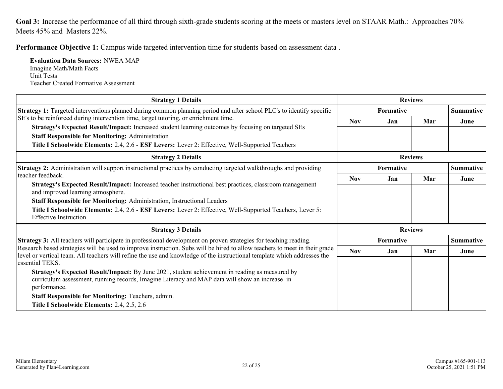<span id="page-21-0"></span>Goal 3: Increase the performance of all third through sixth-grade students scoring at the meets or masters level on STAAR Math.: Approaches 70% Meets 45% and Masters 22%.

**Performance Objective 1:** Campus wide targeted intervention time for students based on assessment data .

**Evaluation Data Sources:** NWEA MAP Imagine Math/Math Facts Unit Tests Teacher Created Formative Assessment

| <b>Strategy 1 Details</b>                                                                                                                                                                                                                                                 |            |           | <b>Reviews</b> |                  |
|---------------------------------------------------------------------------------------------------------------------------------------------------------------------------------------------------------------------------------------------------------------------------|------------|-----------|----------------|------------------|
| Strategy 1: Targeted interventions planned during common planning period and after school PLC's to identify specific                                                                                                                                                      |            | Formative |                | <b>Summative</b> |
| SE's to be reinforced during intervention time, target tutoring, or enrichment time.                                                                                                                                                                                      | <b>Nov</b> | Jan       | Mar            | June             |
| Strategy's Expected Result/Impact: Increased student learning outcomes by focusing on targeted SEs                                                                                                                                                                        |            |           |                |                  |
| <b>Staff Responsible for Monitoring: Administration</b>                                                                                                                                                                                                                   |            |           |                |                  |
| Title I Schoolwide Elements: 2.4, 2.6 - ESF Levers: Lever 2: Effective, Well-Supported Teachers                                                                                                                                                                           |            |           |                |                  |
| <b>Strategy 2 Details</b>                                                                                                                                                                                                                                                 |            |           | <b>Reviews</b> |                  |
| Strategy 2: Administration will support instructional practices by conducting targeted walkthroughs and providing                                                                                                                                                         |            | Formative |                | Summative        |
| teacher feedback.                                                                                                                                                                                                                                                         | <b>Nov</b> | Jan       | Mar            | June             |
| Strategy's Expected Result/Impact: Increased teacher instructional best practices, classroom management<br>and improved learning atmosphere.                                                                                                                              |            |           |                |                  |
| Staff Responsible for Monitoring: Administration, Instructional Leaders                                                                                                                                                                                                   |            |           |                |                  |
| Title I Schoolwide Elements: 2.4, 2.6 - ESF Levers: Lever 2: Effective, Well-Supported Teachers, Lever 5:<br><b>Effective Instruction</b>                                                                                                                                 |            |           |                |                  |
| <b>Strategy 3 Details</b>                                                                                                                                                                                                                                                 |            |           | <b>Reviews</b> |                  |
| Strategy 3: All teachers will participate in professional development on proven strategies for teaching reading.                                                                                                                                                          |            | Formative |                | <b>Summative</b> |
| Research based strategies will be used to improve instruction. Subs will be hired to allow teachers to meet in their grade<br>level or vertical team. All teachers will refine the use and knowledge of the instructional template which addresses the<br>essential TEKS. | <b>Nov</b> | Jan       | Mar            | June             |
| Strategy's Expected Result/Impact: By June 2021, student achievement in reading as measured by<br>curriculum assessment, running records, Imagine Literacy and MAP data will show an increase in<br>performance.                                                          |            |           |                |                  |
| <b>Staff Responsible for Monitoring: Teachers, admin.</b>                                                                                                                                                                                                                 |            |           |                |                  |
| Title I Schoolwide Elements: 2.4, 2.5, 2.6                                                                                                                                                                                                                                |            |           |                |                  |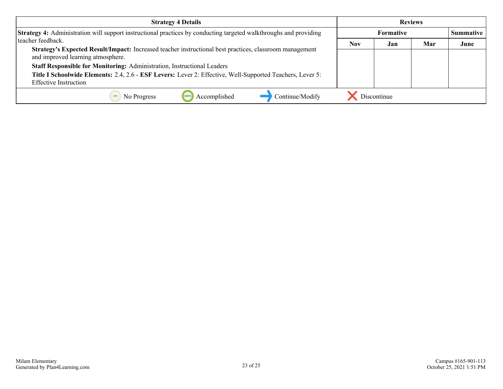| <b>Strategy 4 Details</b>                                                                                                                    |            |             | <b>Reviews</b> |                  |
|----------------------------------------------------------------------------------------------------------------------------------------------|------------|-------------|----------------|------------------|
| Strategy 4: Administration will support instructional practices by conducting targeted walkthroughs and providing                            |            | Formative   |                | <b>Summative</b> |
| teacher feedback.                                                                                                                            | <b>Nov</b> | Jan         | Mar            | June             |
| Strategy's Expected Result/Impact: Increased teacher instructional best practices, classroom management<br>and improved learning atmosphere. |            |             |                |                  |
| Staff Responsible for Monitoring: Administration, Instructional Leaders                                                                      |            |             |                |                  |
| Title I Schoolwide Elements: 2.4, 2.6 - ESF Levers: Lever 2: Effective, Well-Supported Teachers, Lever 5:                                    |            |             |                |                  |
| <b>Effective Instruction</b>                                                                                                                 |            |             |                |                  |
| Continue/Modify<br>Accomplished<br>No Progress                                                                                               |            | Discontinue |                |                  |

Campus #165-901-113 October 25, 2021 1:51 PM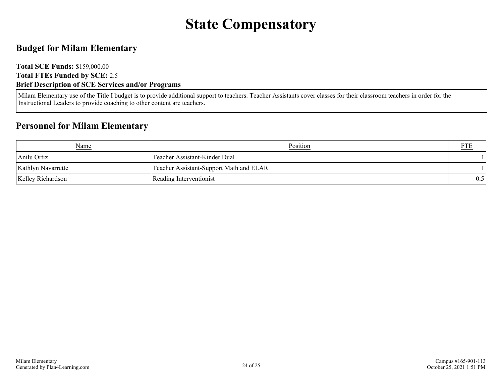# **State Compensatory**

### <span id="page-23-0"></span>**Budget for Milam Elementary**

#### **Total SCE Funds:** \$159,000.00 **Total FTEs Funded by SCE:** 2.5 **Brief Description of SCE Services and/or Programs**

Milam Elementary use of the Title I budget is to provide additional support to teachers. Teacher Assistants cover classes for their classroom teachers in order for the Instructional Leaders to provide coaching to other content are teachers.

### **Personnel for Milam Elementary**

| Name                      | Position                                | FTE |
|---------------------------|-----------------------------------------|-----|
| Anilu Ortiz               | Teacher Assistant-Kinder Dual           |     |
| <b>Kathlyn Navarrette</b> | Teacher Assistant-Support Math and ELAR |     |
| <b>Kelley Richardson</b>  | Reading Interventionist                 | 0.5 |